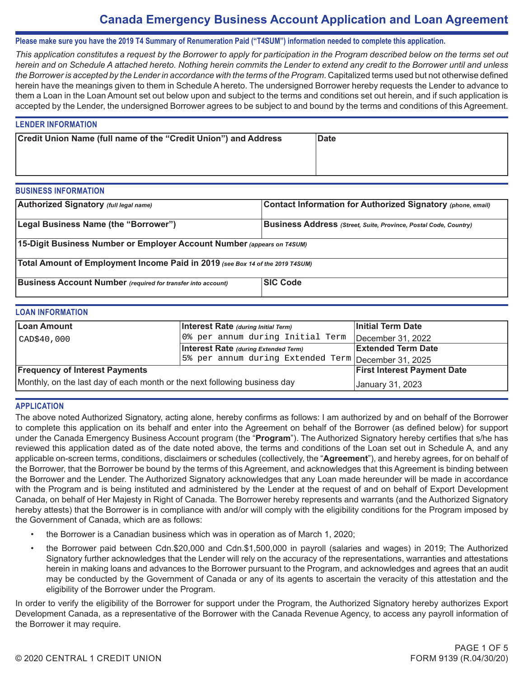# **Canada Emergency Business Account Application and Loan Agreement**

### **Please make sure you have the 2019 T4 Summary of Renumeration Paid ("T4SUM") information needed to complete this application.**

*This application constitutes a request by the Borrower to apply for participation in the Program described below on the terms set out herein and on Schedule A attached hereto. Nothing herein commits the Lender to extend any credit to the Borrower until and unless the Borrower is accepted by the Lender in accordance with the terms of the Program*. Capitalized terms used but not otherwise defined herein have the meanings given to them in Schedule A hereto. The undersigned Borrower hereby requests the Lender to advance to them a Loan in the Loan Amount set out below upon and subject to the terms and conditions set out herein, and if such application is accepted by the Lender, the undersigned Borrower agrees to be subject to and bound by the terms and conditions of this Agreement.

#### **LENDER INFORMATION**

| Credit Union Name (full name of the "Credit Union") and Address | <b>Date</b> |
|-----------------------------------------------------------------|-------------|
|                                                                 |             |
|                                                                 |             |

#### **BUSINESS INFORMATION**

| Authorized Signatory (full legal name)                                        | Contact Information for Authorized Signatory (phone, email)             |  |  |  |  |
|-------------------------------------------------------------------------------|-------------------------------------------------------------------------|--|--|--|--|
| Legal Business Name (the "Borrower")                                          | <b>Business Address</b> (Street, Suite, Province, Postal Code, Country) |  |  |  |  |
| 15-Digit Business Number or Employer Account Number (appears on T4SUM)        |                                                                         |  |  |  |  |
| Total Amount of Employment Income Paid in 2019 (see Box 14 of the 2019 T4SUM) |                                                                         |  |  |  |  |
| <b>Business Account Number</b> (required for transfer into account)           | <b>SIC Code</b>                                                         |  |  |  |  |

### **LOAN INFORMATION**

| <b>Loan Amount</b>                                                        | Interest Rate (during Initial Term)                  | Initial Term Date         |
|---------------------------------------------------------------------------|------------------------------------------------------|---------------------------|
| $\vert$ CAD\$40,000                                                       | 0% per annum during Initial Term                     | December 31, 2022         |
|                                                                           | <b>Interest Rate (during Extended Term)</b>          | <b>Extended Term Date</b> |
|                                                                           | 15% per annum during Extended Term December 31, 2025 |                           |
| <b>Frequency of Interest Payments</b>                                     | <b>First Interest Payment Date</b>                   |                           |
| Monthly, on the last day of each month or the next following business day | January 31, 2023                                     |                           |

#### **APPLICATION**

The above noted Authorized Signatory, acting alone, hereby confirms as follows: I am authorized by and on behalf of the Borrower to complete this application on its behalf and enter into the Agreement on behalf of the Borrower (as defined below) for support under the Canada Emergency Business Account program (the "**Program**"). The Authorized Signatory hereby certifies that s/he has reviewed this application dated as of the date noted above, the terms and conditions of the Loan set out in Schedule A, and any applicable on-screen terms, conditions, disclaimers or schedules (collectively, the "**Agreement**"), and hereby agrees, for on behalf of the Borrower, that the Borrower be bound by the terms of this Agreement, and acknowledges that this Agreement is binding between the Borrower and the Lender. The Authorized Signatory acknowledges that any Loan made hereunder will be made in accordance with the Program and is being instituted and administered by the Lender at the request of and on behalf of Export Development Canada, on behalf of Her Majesty in Right of Canada. The Borrower hereby represents and warrants (and the Authorized Signatory hereby attests) that the Borrower is in compliance with and/or will comply with the eligibility conditions for the Program imposed by the Government of Canada, which are as follows: CAD:840,000<br>  $\frac{1}{2}$  Per ennun curring That and Them In Checker and Checker and Checker and Checker and Checker and Checker and Checker and Checker and Checker and Checker and Checker and Checker and Checker and Checker

- the Borrower is a Canadian business which was in operation as of March 1, 2020;
- the Borrower paid between Cdn.\$20,000 and Cdn.\$1,500,000 in payroll (salaries and wages) in 2019; The Authorized Signatory further acknowledges that the Lender will rely on the accuracy of the representations, warranties and attestations herein in making loans and advances to the Borrower pursuant to the Program, and acknowledges and agrees that an audit may be conducted by the Government of Canada or any of its agents to ascertain the veracity of this attestation and the eligibility of the Borrower under the Program.

In order to verify the eligibility of the Borrower for support under the Program, the Authorized Signatory hereby authorizes Export Development Canada, as a representative of the Borrower with the Canada Revenue Agency, to access any payroll information of the Borrower it may require.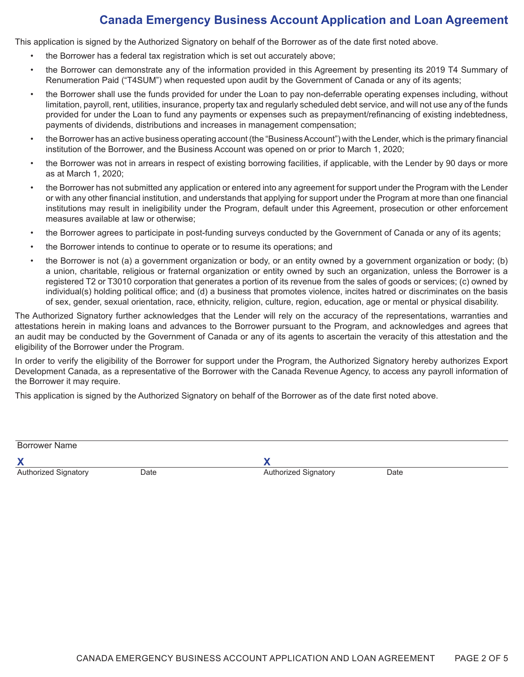# **Canada Emergency Business Account Application and Loan Agreement**

This application is signed by the Authorized Signatory on behalf of the Borrower as of the date first noted above.

- the Borrower has a federal tax registration which is set out accurately above;
- the Borrower can demonstrate any of the information provided in this Agreement by presenting its 2019 T4 Summary of Renumeration Paid ("T4SUM") when requested upon audit by the Government of Canada or any of its agents;
- the Borrower shall use the funds provided for under the Loan to pay non-deferrable operating expenses including, without limitation, payroll, rent, utilities, insurance, property tax and regularly scheduled debt service, and will not use any of the funds provided for under the Loan to fund any payments or expenses such as prepayment/refinancing of existing indebtedness, payments of dividends, distributions and increases in management compensation;
- the Borrower has an active business operating account (the "Business Account") with the Lender, which is the primary financial institution of the Borrower, and the Business Account was opened on or prior to March 1, 2020;
- the Borrower was not in arrears in respect of existing borrowing facilities, if applicable, with the Lender by 90 days or more as at March 1, 2020;
- the Borrower has not submitted any application or entered into any agreement for support under the Program with the Lender or with any other financial institution, and understands that applying for support under the Program at more than one financial institutions may result in ineligibility under the Program, default under this Agreement, prosecution or other enforcement measures available at law or otherwise;
- the Borrower agrees to participate in post-funding surveys conducted by the Government of Canada or any of its agents;
- the Borrower intends to continue to operate or to resume its operations; and
- the Borrower is not (a) a government organization or body, or an entity owned by a government organization or body; (b) a union, charitable, religious or fraternal organization or entity owned by such an organization, unless the Borrower is a registered T2 or T3010 corporation that generates a portion of its revenue from the sales of goods or services; (c) owned by individual(s) holding political office; and (d) a business that promotes violence, incites hatred or discriminates on the basis of sex, gender, sexual orientation, race, ethnicity, religion, culture, region, education, age or mental or physical disability.

The Authorized Signatory further acknowledges that the Lender will rely on the accuracy of the representations, warranties and attestations herein in making loans and advances to the Borrower pursuant to the Program, and acknowledges and agrees that an audit may be conducted by the Government of Canada or any of its agents to ascertain the veracity of this attestation and the eligibility of the Borrower under the Program.

In order to verify the eligibility of the Borrower for support under the Program, the Authorized Signatory hereby authorizes Export Development Canada, as a representative of the Borrower with the Canada Revenue Agency, to access any payroll information of the Borrower it may require.

This application is signed by the Authorized Signatory on behalf of the Borrower as of the date first noted above.

| Borrower Name        |      |                             |      |
|----------------------|------|-----------------------------|------|
|                      |      |                             |      |
| Authorized Signatory | Date | <b>Authorized Signatory</b> | Date |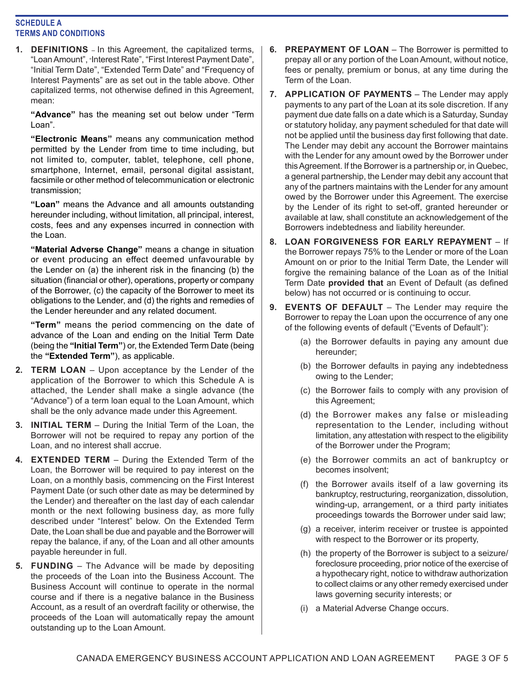## **SCHEDULE A TERMS AND CONDITIONS**

**1. DEFINITIONS** – In this Agreement, the capitalized terms, "Loan Amount", "Interest Rate", "First Interest Payment Date", "Initial Term Date", "Extended Term Date" and "Frequency of Interest Payments" are as set out in the table above. Other capitalized terms, not otherwise defined in this Agreement, mean:

**"Advance"** has the meaning set out below under "Term Loan".

**"Electronic Means"** means any communication method permitted by the Lender from time to time including, but not limited to, computer, tablet, telephone, cell phone, smartphone, Internet, email, personal digital assistant, facsimile or other method of telecommunication or electronic transmission;

**"Loan"** means the Advance and all amounts outstanding hereunder including, without limitation, all principal, interest, costs, fees and any expenses incurred in connection with the Loan.

**"Material Adverse Change"** means a change in situation or event producing an effect deemed unfavourable by the Lender on (a) the inherent risk in the financing (b) the situation (financial or other), operations, property or company of the Borrower, (c) the capacity of the Borrower to meet its obligations to the Lender, and (d) the rights and remedies of the Lender hereunder and any related document.

**"Term"** means the period commencing on the date of advance of the Loan and ending on the Initial Term Date (being the **"Initial Term"**) or, the Extended Term Date (being the **"Extended Term"**), as applicable.

- **2. TERM LOAN**  Upon acceptance by the Lender of the application of the Borrower to which this Schedule A is attached, the Lender shall make a single advance (the "Advance") of a term loan equal to the Loan Amount, which shall be the only advance made under this Agreement.
- **3. INITIAL TERM**  During the Initial Term of the Loan, the Borrower will not be required to repay any portion of the Loan, and no interest shall accrue.
- **4. EXTENDED TERM**  During the Extended Term of the Loan, the Borrower will be required to pay interest on the Loan, on a monthly basis, commencing on the First Interest Payment Date (or such other date as may be determined by the Lender) and thereafter on the last day of each calendar month or the next following business day, as more fully described under "Interest" below. On the Extended Term Date, the Loan shall be due and payable and the Borrower will repay the balance, if any, of the Loan and all other amounts payable hereunder in full.
- **5. FUNDING**  The Advance will be made by depositing the proceeds of the Loan into the Business Account. The Business Account will continue to operate in the normal course and if there is a negative balance in the Business Account, as a result of an overdraft facility or otherwise, the proceeds of the Loan will automatically repay the amount outstanding up to the Loan Amount.
- **6. PREPAYMENT OF LOAN** The Borrower is permitted to prepay all or any portion of the Loan Amount, without notice, fees or penalty, premium or bonus, at any time during the Term of the Loan.
- **7. APPLICATION OF PAYMENTS** The Lender may apply payments to any part of the Loan at its sole discretion. If any payment due date falls on a date which is a Saturday, Sunday or statutory holiday, any payment scheduled for that date will not be applied until the business day first following that date. The Lender may debit any account the Borrower maintains with the Lender for any amount owed by the Borrower under this Agreement. If the Borrower is a partnership or, in Quebec, a general partnership, the Lender may debit any account that any of the partners maintains with the Lender for any amount owed by the Borrower under this Agreement. The exercise by the Lender of its right to set-off, granted hereunder or available at law, shall constitute an acknowledgement of the Borrowers indebtedness and liability hereunder.
- **8. LOAN FORGIVENESS FOR EARLY REPAYMENT**  If the Borrower repays 75% to the Lender or more of the Loan Amount on or prior to the Initial Term Date, the Lender will forgive the remaining balance of the Loan as of the Initial Term Date **provided that** an Event of Default (as defined below) has not occurred or is continuing to occur.
- **9. EVENTS OF DEFAULT**  The Lender may require the Borrower to repay the Loan upon the occurrence of any one of the following events of default ("Events of Default"):
	- (a) the Borrower defaults in paying any amount due hereunder;
	- (b) the Borrower defaults in paying any indebtedness owing to the Lender;
	- (c) the Borrower fails to comply with any provision of this Agreement;
	- (d) the Borrower makes any false or misleading representation to the Lender, including without limitation, any attestation with respect to the eligibility of the Borrower under the Program;
	- (e) the Borrower commits an act of bankruptcy or becomes insolvent;
	- (f) the Borrower avails itself of a law governing its bankruptcy, restructuring, reorganization, dissolution, winding-up, arrangement, or a third party initiates proceedings towards the Borrower under said law;
	- (g) a receiver, interim receiver or trustee is appointed with respect to the Borrower or its property,
	- (h) the property of the Borrower is subject to a seizure/ foreclosure proceeding, prior notice of the exercise of a hypothecary right, notice to withdraw authorization to collect claims or any other remedy exercised under laws governing security interests; or
	- (i) a Material Adverse Change occurs.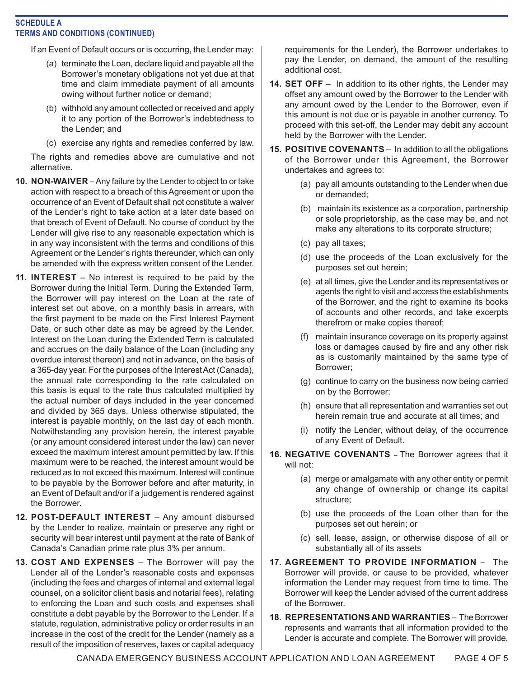# **SCHEDULE A TERMS AND CONDITIONS (CONTINUED)**

If an Event of Default occurs or is occurring, the Lender may:

- (a) terminate the Loan, declare liquid and payable all the Borrower's monetary obligations not yet due at that time and claim immediate payment of all amounts owing without further notice or demand;
- (b) withhold any amount collected or received and apply it to any portion of the Borrower's indebtedness to the Lender; and
- (c) exercise any rights and remedies conferred by law.

The rights and remedies above are cumulative and not alternative.

- **10. NON-WAIVER**  Any failure by the Lender to object to or take action with respect to a breach of this Agreement or upon the occurrence of an Event of Default shall not constitute a waiver of the Lender's right to take action at a later date based on that breach of Event of Default. No course of conduct by the Lender will give rise to any reasonable expectation which is in any way inconsistent with the terms and conditions of this Agreement or the Lender's rights thereunder, which can only be amended with the express written consent of the Lender.
- **11. INTEREST**  No interest is required to be paid by the Borrower during the Initial Term. During the Extended Term, the Borrower will pay interest on the Loan at the rate of interest set out above, on a monthly basis in arrears, with the first payment to be made on the First Interest Payment Date, or such other date as may be agreed by the Lender. Interest on the Loan during the Extended Term is calculated and accrues on the daily balance of the Loan (including any overdue interest thereon) and not in advance, on the basis of a 365-day year. For the purposes of the Interest Act (Canada), the annual rate corresponding to the rate calculated on this basis is equal to the rate thus calculated multiplied by the actual number of days included in the year concerned and divided by 365 days. Unless otherwise stipulated, the interest is payable monthly, on the last day of each month. Notwithstanding any provision herein, the interest payable (or any amount considered interest under the law) can never exceed the maximum interest amount permitted by law. If this maximum were to be reached, the interest amount would be reduced as to not exceed this maximum. Interest will continue to be payable by the Borrower before and after maturity, in an Event of Default and/or if a judgement is rendered against the Borrower.
- **12. POST-DEFAULT INTEREST**  Any amount disbursed by the Lender to realize, maintain or preserve any right or security will bear interest until payment at the rate of Bank of Canada's Canadian prime rate plus 3% per annum.
- **13. COST AND EXPENSES**  The Borrower will pay the Lender all of the Lender's reasonable costs and expenses (including the fees and charges of internal and external legal counsel, on a solicitor client basis and notarial fees), relating to enforcing the Loan and such costs and expenses shall constitute a debt payable by the Borrower to the Lender. If a statute, regulation, administrative policy or order results in an increase in the cost of the credit for the Lender (namely as a result of the imposition of reserves, taxes or capital adequacy

requirements for the Lender), the Borrower undertakes to pay the Lender, on demand, the amount of the resulting additional cost.

- **14. SET OFF**  In addition to its other rights, the Lender may offset any amount owed by the Borrower to the Lender with any amount owed by the Lender to the Borrower, even if this amount is not due or is payable in another currency. To proceed with this set-off, the Lender may debit any account held by the Borrower with the Lender.
- **15. POSITIVE COVENANTS**  In addition to all the obligations of the Borrower under this Agreement, the Borrower undertakes and agrees to:
	- (a) pay all amounts outstanding to the Lender when due or demanded;
	- (b) maintain its existence as a corporation, partnership or sole proprietorship, as the case may be, and not make any alterations to its corporate structure;
	- (c) pay all taxes;
	- (d) use the proceeds of the Loan exclusively for the purposes set out herein;
	- (e) at all times, give the Lender and its representatives or agents the right to visit and access the establishments of the Borrower, and the right to examine its books of accounts and other records, and take excerpts therefrom or make copies thereof;
	- (f) maintain insurance coverage on its property against loss or damages caused by fire and any other risk as is customarily maintained by the same type of Borrower;
	- (g) continue to carry on the business now being carried on by the Borrower;
	- (h) ensure that all representation and warranties set out herein remain true and accurate at all times; and
	- (i) notify the Lender, without delay, of the occurrence of any Event of Default.
- **16. NEGATIVE COVENANTS**  The Borrower agrees that it will not:
	- (a) merge or amalgamate with any other entity or permit any change of ownership or change its capital structure;
	- (b) use the proceeds of the Loan other than for the purposes set out herein; or
	- (c) sell, lease, assign, or otherwise dispose of all or substantially all of its assets
- **17. AGREEMENT TO PROVIDE INFORMATION**  The Borrower will provide, or cause to be provided, whatever information the Lender may request from time to time. The Borrower will keep the Lender advised of the current address of the Borrower.
- **18. REPRESENTATIONS AND WARRANTIES**  The Borrower represents and warrants that all information provided to the Lender is accurate and complete. The Borrower will provide,